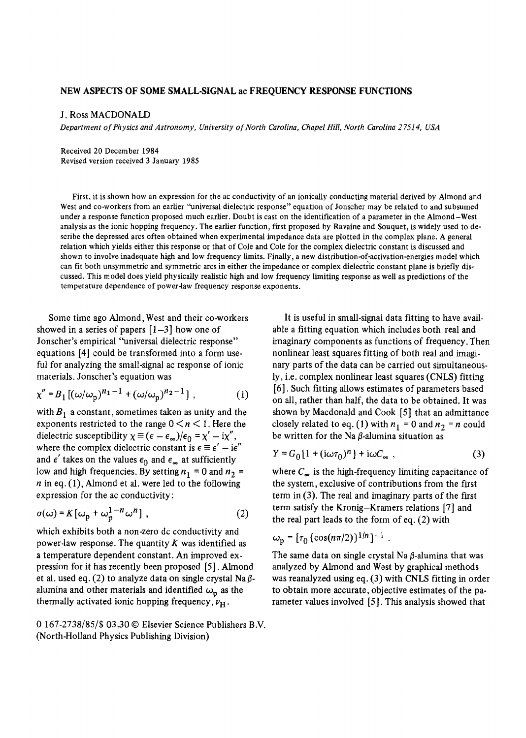## **NEW ASPECTS OF SOME SMALL-SIGNAL ac FREQUENCY RESPONSE FUNCTIONS**

## J. Ross MACDONALD

*Department of Physics and Astronomy, University of North Carolina, Chapel Hill, North Carolina 2 7514, USA* 

Received 20 December 1984 Revised version received 3 January 1985

First, it is shown how an expression for the ac conductivity of an ionically conducting material derived by Almond and West and co-workers from an earlier "universal dielectric response" equation of Jonscher may be related to and subsumed under a response function proposed much earlier. Doubt is cast on the identification of a parameter in the Almond-West analysis as the ionic hopping frequency. The earlier function, first proposed by Ravaine and Souquet, is widely used to describe the depressed arcs often obtained when experimental impedance data are plotted in the complex plane. A general relation which yields either this response or that of Cole and Cole for the complex dielectric constant is discussed and shown to involve inadequate high and low frequency limits. Finally, a new distribution-of-activation-energies model which can fit both unsymmetric and symmetric arcs in either the impedance or complex dielectric constant plane is briefly discussed. This rr odel does yield physically realistic high and low frequency limiting response as well as predictions of the temperature dependence of power-law frequency response exponents.

Some time ago Almond, West and their co-workers showed in a series of papers  $[1-3]$  how one of Jonscher's empirical "universal dielectric response" equations [4] could be transformed into a form useful for analyzing the small-signal ac response of ionic materials. Jonscher's equation was

$$
\chi'' = B_1 [(\omega/\omega_p)^{n_1 - 1} + (\omega/\omega_p)^{n_2 - 1}], \qquad (1)
$$

with  $B_1$  a constant, sometimes taken as unity and the exponents restricted to the range  $0 \le n \le 1$ . Here the dielectric susceptibility  $\chi \equiv (\epsilon - \epsilon_{\infty})/\epsilon_0 = \chi' - i\chi''$ , where the complex dielectric constant is  $\epsilon = \epsilon' - i\epsilon''$ and  $\epsilon'$  takes on the values  $\epsilon_0$  and  $\epsilon_{\infty}$  at sufficiently low and high frequencies. By setting  $n_1 = 0$  and  $n_2 =$  $n$  in eq. (1), Almond et al. were led to the following expression for the ac conductivity:

$$
\sigma(\omega) = K[\omega_p + \omega_p^{1-n} \omega^n], \qquad (2)
$$

which exhibits both a non-zero dc conductivity and power-law response. The quantity K was identified as a temperature dependent constant. An improved expression for it has recently been proposed [5]. Almond et al. used eq. (2) to analyze data on single crystal Na $\beta$ alumina and other materials and identified  $\omega_{\rm n}$  as the thermally activated ionic hopping frequency,  $\nu_{\rm H}$ .

0 167-2738/85/\$ *03.30 ©* Elsevier Science Publishers B.V. (North-Holland Physics Publishing Division)

It is useful in small-signal data fitting to have available a fitting equation which includes both real and imaginary components as functions of frequency. Then nonlinear least squares fitting of both real and imaginary parts of the data can be carried out simultaneously, i.e. complex nonlinear least squares (CNLS) fitting [6]. Such fitting allows estimates of parameters based on all, rather than half, the data to be obtained. It was shown by Macdonald and Cook [5] that an admittance closely related to eq. (1) with  $n_1 = 0$  and  $n_2 = n$  could be written for the Na  $\beta$ -alumina situation as

$$
Y = G_0 \left[ 1 + (i\omega \tau_0)^n \right] + i\omega C_\infty , \qquad (3)
$$

where  $C_{\infty}$  is the high-frequency limiting capacitance of the system, exclusive of contributions from the first term in (3). The real and imaginary parts of the first term satisfy the Kronig-Kramers relations [7] and the real part leads to the form of eq. (2) with

$$
\omega_{\rm p} = [\tau_0 \{ \cos(n\pi/2) \}^{1/n}]^{-1} \ .
$$

The same data on single crystal Na  $\beta$ -alumina that was analyzed by Almond and West by graphical methods was reanalyzed using eq. (3) with CNLS fitting in order to obtain more accurate, objective estimates of the parameter values involved [5]. This analysis showed that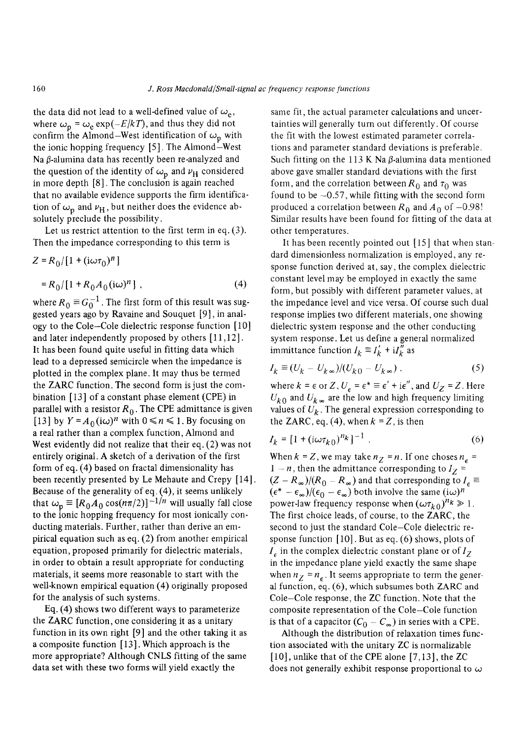the data did not lead to a well-defined value of  $\omega_e$ , where  $\omega_{\rm p} = \omega_{\rm e} \exp(-E/kT)$ , and thus they did not confirm the Almond–West identification of  $\omega_p$  with the ionic hopping frequency [5]. The Almond-West Na $\beta$ -alumina data has recently been re-analyzed and the question of the identity of  $\omega_{\rm p}$  and  $\nu_{\rm H}$  considered in more depth [8]. The conclusion is again reached that no available evidence supports the firm identification of  $\omega_{\rm n}$  and  $\nu_{\rm H}$ , but neither does the evidence absolutely preclude the possibility.

Let us restrict attention to the first term in eq. (3). Then the impedance corresponding to this term is

$$
Z = R_0/[1 + (i\omega \tau_0)^n]
$$
  
= R\_0/[1 + R\_0 A\_0 (i\omega)^n], (4)

where  $R_0 \equiv G_0^{-1}$ . The first form of this result was suggested years ago by Ravaine and Souquet [9], in analogy to the Cole-Cole dielectric response function [ 10] and later independently proposed by others [11,12]. It has been found quite useful in fitting data which lead to a depressed semicircle when the impedance is plotted in the complex plane. It may thus be termed the ZARC function. The second form is just the combination [13] of a constant phase element (CPE) in parallel with a resistor  $R_0$ . The CPE admittance is given [13] by  $Y = A_0(i\omega)^n$  with  $0 \le n \le 1$ . By focusing on a real rather than a complex function, Almond and West evidently did not realize that their eq. (2) was not entirely original. A sketch of a derivation of the first form of eq. (4) based on fractal dimensionality has been recently presented by Le Mehaute and Crepy [14]. Because of the generality of eq. (4), it seems unlikely that  $\omega_p \equiv [R_0 A_0 \cos(n\pi/2)]^{-1/n}$  will usually fall close to the ionic hopping frequency for most ionically conducting materials. Further, rather than derive an empirical equation such as eq. (2) from another empirical equation, proposed primarily for dielectric materials, in order to obtain a result appropriate for conducting materials, it seems more reasonable to start with the well-known empirical equation (4) originally proposed for the analysis of such systems.

Eq. (4) shows two different ways to parameterize the ZARC function, one considering it as a unitary function in its own right [9] and the other taking it as a composite function [13]. Which approach is the more appropriate? Although CNLS fitting of the same data set with these two forms will yield exactly the

same fit, the actual parameter calculations and uncertainties will generally turn out differently. Of course the fit with the lowest estimated parameter correlations and parameter standard deviations is preferable. Such fitting on the 113 K Na  $\beta$ -alumina data mentioned above gave smaller standard deviations with the first form, and the correlation between  $R_0$  and  $\tau_0$  was found to be  $-0.57$ , while fitting with the second form produced a correlation between  $R_0$  and  $A_0$  of -0.98! Similar results have been found for fitting of the data at other temperatures.

It has been recently pointed out [15] that when standard dimensionless normalization is employed, any response function derived at, say, the complex dielectric constant level may be employed in exactly the same form, but possibly with different parameter values, at the impedance level and vice versa. Of course such dual response implies two different materials, one showing dielectric system response and the other conducting system response. Let us define a general normalized immittance function  $I_k \equiv I'_k + iI''_k$  as

$$
I_k \equiv (U_k - U_{k\infty})/(U_{k0} - U_{k\infty})\,,\tag{5}
$$

where  $k = \epsilon$  or Z,  $U_{\epsilon} = \epsilon^* \equiv \epsilon' + i\epsilon''$ , and  $U_Z = Z$ . Here  $U_{k0}$  and  $U_{k\infty}$  are the low and high frequency limiting values of  $U_k$ . The general expression corresponding to the ZARC, eq. (4), when  $k = Z$ , is then

$$
I_k = [1 + (i\omega \tau_{k0})^{n_k}]^{-1} \tag{6}
$$

When  $k = Z$ , we may take  $n_Z = n$ . If one choses  $n_e =$  $1 - n$ , then the admittance corresponding to  $I_Z =$  $(Z - R_{\infty})/(R_0 - R_{\infty})$  and that corresponding to  $I_e \equiv$  $(\epsilon^* - \epsilon_\infty)/(\epsilon_0 - \epsilon_\infty)$  both involve the same  $(i\omega)^n$ power-law frequency response when  $(\omega \tau_{k0})^{n_k} \ge 1$ . The first choice leads, of course, to the ZARC, the second to just the standard Cole-Cole dielectric response function [10]. But as eq. (6) shows, plots of  $I<sub>e</sub>$  in the complex dielectric constant plane or of  $I<sub>Z</sub>$ in the impedance plane yield exactly the same shape when  $n_Z = n_e$ . It seems appropriate to term the general function, eq. (6), which subsumes both ZARC and Cole-Cole response, the ZC function. Note that the composite representation of the Cole-Cole function is that of a capacitor  $(C_0 - C_{\infty})$  in series with a CPE.

Although the distribution of relaxation times function associated with the unitary ZC is normalizable [10], unlike that of the CPE alone [7,13], the ZC does not generally exhibit response proportional to  $\omega$